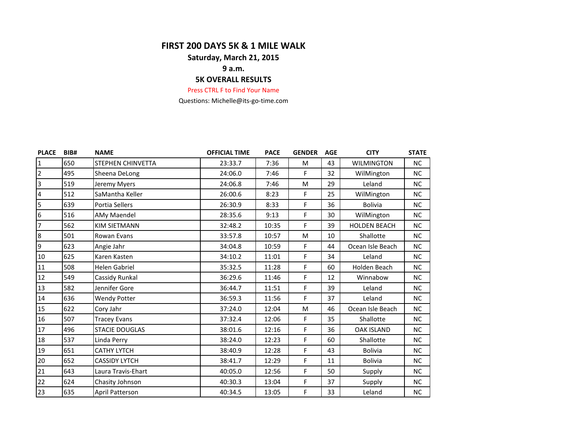## **FIRST 200 DAYS 5K & 1 MILE WALK**

## **Saturday, March 21, 2015**

# **9 a.m.**

## **5K OVERALL RESULTS**

#### Press CTRL F to Find Your Name

Questions: Michelle@its-go-time.com

| <b>PLACE</b>   | BIB# | <b>NAME</b>              | <b>OFFICIAL TIME</b> | <b>PACE</b> | <b>GENDER</b> | <b>AGE</b> | <b>CITY</b>         | <b>STATE</b> |
|----------------|------|--------------------------|----------------------|-------------|---------------|------------|---------------------|--------------|
| $\mathbf{1}$   | 650  | <b>STEPHEN CHINVETTA</b> | 23:33.7              | 7:36        | M             | 43         | <b>WILMINGTON</b>   | NC.          |
| $\overline{2}$ | 495  | Sheena DeLong            | 24:06.0              | 7:46        | F             | 32         | WilMington          | <b>NC</b>    |
| 3              | 519  | Jeremy Myers             | 24:06.8              | 7:46        | M             | 29         | Leland              | <b>NC</b>    |
| $\overline{4}$ | 512  | SaMantha Keller          | 26:00.6              | 8:23        | F.            | 25         | WilMington          | <b>NC</b>    |
| 5              | 639  | Portia Sellers           | 26:30.9              | 8:33        | F.            | 36         | <b>Bolivia</b>      | <b>NC</b>    |
| 6              | 516  | AMy Maendel              | 28:35.6              | 9:13        | F.            | 30         | WilMington          | <b>NC</b>    |
| $\overline{7}$ | 562  | <b>KIM SIETMANN</b>      | 32:48.2              | 10:35       | F             | 39         | <b>HOLDEN BEACH</b> | <b>NC</b>    |
| 8              | 501  | Rowan Evans              | 33:57.8              | 10:57       | M             | 10         | Shallotte           | <b>NC</b>    |
| 9              | 623  | Angie Jahr               | 34:04.8              | 10:59       | F.            | 44         | Ocean Isle Beach    | NC.          |
| 10             | 625  | Karen Kasten             | 34:10.2              | 11:01       | F             | 34         | Leland              | NC.          |
| 11             | 508  | <b>Helen Gabriel</b>     | 35:32.5              | 11:28       | F             | 60         | Holden Beach        | <b>NC</b>    |
| 12             | 549  | Cassidy Runkal           | 36:29.6              | 11:46       | F             | 12         | Winnabow            | <b>NC</b>    |
| 13             | 582  | Jennifer Gore            | 36:44.7              | 11:51       | F             | 39         | Leland              | <b>NC</b>    |
| 14             | 636  | <b>Wendy Potter</b>      | 36:59.3              | 11:56       | F             | 37         | Leland              | <b>NC</b>    |
| 15             | 622  | Cory Jahr                | 37:24.0              | 12:04       | M             | 46         | Ocean Isle Beach    | <b>NC</b>    |
| 16             | 507  | <b>Tracey Evans</b>      | 37:32.4              | 12:06       | F             | 35         | Shallotte           | NC.          |
| 17             | 496  | <b>STACIE DOUGLAS</b>    | 38:01.6              | 12:16       | F             | 36         | <b>OAK ISLAND</b>   | NC.          |
| 18             | 537  | Linda Perry              | 38:24.0              | 12:23       | F.            | 60         | Shallotte           | <b>NC</b>    |
| 19             | 651  | <b>CATHY LYTCH</b>       | 38:40.9              | 12:28       | F             | 43         | Bolivia             | <b>NC</b>    |
| $20\,$         | 652  | <b>CASSIDY LYTCH</b>     | 38:41.7              | 12:29       | F             | 11         | <b>Bolivia</b>      | <b>NC</b>    |
| 21             | 643  | Laura Travis-Ehart       | 40:05.0              | 12:56       | F             | 50         | Supply              | <b>NC</b>    |
| 22             | 624  | Chasity Johnson          | 40:30.3              | 13:04       | F             | 37         | Supply              | <b>NC</b>    |
| 23             | 635  | April Patterson          | 40:34.5              | 13:05       | F.            | 33         | Leland              | NC.          |